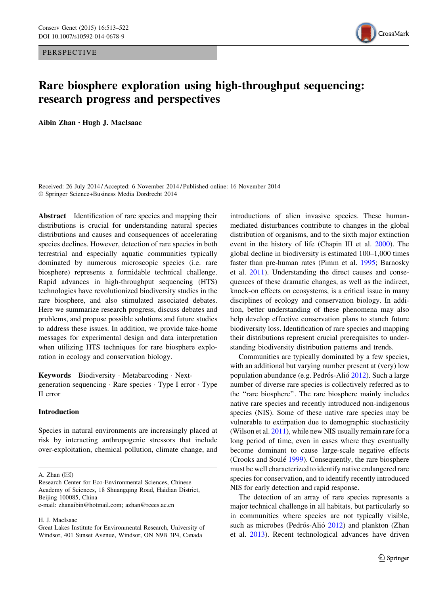PERSPECTIVE



# Rare biosphere exploration using high-throughput sequencing: research progress and perspectives

Aibin Zhan • Hugh J. MacIsaac

Received: 26 July 2014 / Accepted: 6 November 2014 / Published online: 16 November 2014 - Springer Science+Business Media Dordrecht 2014

Abstract Identification of rare species and mapping their distributions is crucial for understanding natural species distributions and causes and consequences of accelerating species declines. However, detection of rare species in both terrestrial and especially aquatic communities typically dominated by numerous microscopic species (i.e. rare biosphere) represents a formidable technical challenge. Rapid advances in high-throughput sequencing (HTS) technologies have revolutionized biodiversity studies in the rare biosphere, and also stimulated associated debates. Here we summarize research progress, discuss debates and problems, and propose possible solutions and future studies to address these issues. In addition, we provide take-home messages for experimental design and data interpretation when utilizing HTS techniques for rare biosphere exploration in ecology and conservation biology.

Keywords Biodiversity · Metabarcoding · Nextgeneration sequencing · Rare species · Type I error · Type II error

#### Introduction

Species in natural environments are increasingly placed at risk by interacting anthropogenic stressors that include over-exploitation, chemical pollution, climate change, and

A. Zhan  $(\boxtimes)$ 

H. J. MacIsaac

introductions of alien invasive species. These humanmediated disturbances contribute to changes in the global distribution of organisms, and to the sixth major extinction event in the history of life (Chapin III et al. [2000\)](#page-8-0). The global decline in biodiversity is estimated 100–1,000 times faster than pre-human rates (Pimm et al. [1995](#page-9-0); Barnosky et al. [2011\)](#page-8-0). Understanding the direct causes and consequences of these dramatic changes, as well as the indirect, knock-on effects on ecosystems, is a critical issue in many disciplines of ecology and conservation biology. In addition, better understanding of these phenomena may also help develop effective conservation plans to stanch future biodiversity loss. Identification of rare species and mapping their distributions represent crucial prerequisites to understanding biodiversity distribution patterns and trends.

Communities are typically dominated by a few species, with an additional but varying number present at (very) low population abundance (e.g. Pedrós-Alió [2012\)](#page-9-0). Such a large number of diverse rare species is collectively referred as to the ''rare biosphere''. The rare biosphere mainly includes native rare species and recently introduced non-indigenous species (NIS). Some of these native rare species may be vulnerable to extirpation due to demographic stochasticity (Wilson et al. [2011\)](#page-9-0), while new NIS usually remain rare for a long period of time, even in cases where they eventually become dominant to cause large-scale negative effects (Crooks and Soulé [1999](#page-8-0)). Consequently, the rare biosphere must be well characterized to identify native endangered rare species for conservation, and to identify recently introduced NIS for early detection and rapid response.

The detection of an array of rare species represents a major technical challenge in all habitats, but particularly so in communities where species are not typically visible, such as microbes (Pedrós-Alió [2012](#page-9-0)) and plankton (Zhan et al. [2013](#page-9-0)). Recent technological advances have driven

Research Center for Eco-Environmental Sciences, Chinese Academy of Sciences, 18 Shuangqing Road, Haidian District, Beijing 100085, China e-mail: zhanaibin@hotmail.com; azhan@rcees.ac.cn

Great Lakes Institute for Environmental Research, University of Windsor, 401 Sunset Avenue, Windsor, ON N9B 3P4, Canada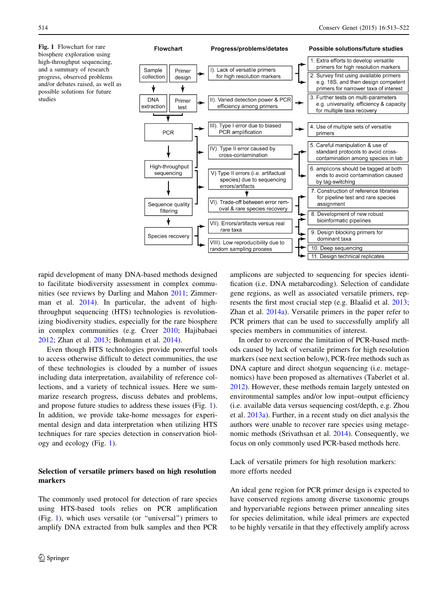Fig. 1 Flowchart for rare biosphere exploration using high-throughput sequencing, and a summary of research progress, observed problems and/or debates raised, as well as possible solutions for future studies



random sampling process

rapid development of many DNA-based methods designed to facilitate biodiversity assessment in complex communities (see reviews by Darling and Mahon [2011](#page-8-0); Zimmerman et al. [2014](#page-9-0)). In particular, the advent of highthroughput sequencing (HTS) technologies is revolutionizing biodiversity studies, especially for the rare biosphere in complex communities (e.g. Creer [2010;](#page-8-0) Hajibabaei [2012;](#page-8-0) Zhan et al. [2013;](#page-9-0) Bohmann et al. [2014\)](#page-8-0).

Even though HTS technologies provide powerful tools to access otherwise difficult to detect communities, the use of these technologies is clouded by a number of issues including data interpretation, availability of reference collections, and a variety of technical issues. Here we summarize research progress, discuss debates and problems, and propose future studies to address these issues (Fig. 1). In addition, we provide take-home messages for experimental design and data interpretation when utilizing HTS techniques for rare species detection in conservation biology and ecology (Fig. 1).

### Selection of versatile primers based on high resolution markers

The commonly used protocol for detection of rare species using HTS-based tools relies on PCR amplification (Fig. 1), which uses versatile (or ''universal'') primers to amplify DNA extracted from bulk samples and then PCR amplicons are subjected to sequencing for species identification (i.e. DNA metabarcoding). Selection of candidate gene regions, as well as associated versatile primers, represents the first most crucial step (e.g. Blaalid et al. [2013](#page-8-0); Zhan et al. [2014a\)](#page-9-0). Versatile primers in the paper refer to PCR primers that can be used to successfully amplify all species members in communities of interest.

11. Design technical replicates

In order to overcome the limitation of PCR-based methods caused by lack of versatile primers for high resolution markers (see next section below), PCR-free methods such as DNA capture and direct shotgun sequencing (i.e. metagenomics) have been proposed as alternatives (Taberlet et al. [2012](#page-9-0)). However, these methods remain largely untested on environmental samples and/or low input–output efficiency (i.e. available data versus sequencing cost/depth, e.g. Zhou et al. [2013a](#page-9-0)). Further, in a recent study on diet analysis the authors were unable to recover rare species using metagenomic methods (Srivathsan et al. [2014](#page-9-0)). Consequently, we focus on only commonly used PCR-based methods here.

Lack of versatile primers for high resolution markers: more efforts needed

An ideal gene region for PCR primer design is expected to have conserved regions among diverse taxonomic groups and hypervariable regions between primer annealing sites for species delimitation, while ideal primers are expected to be highly versatile in that they effectively amplify across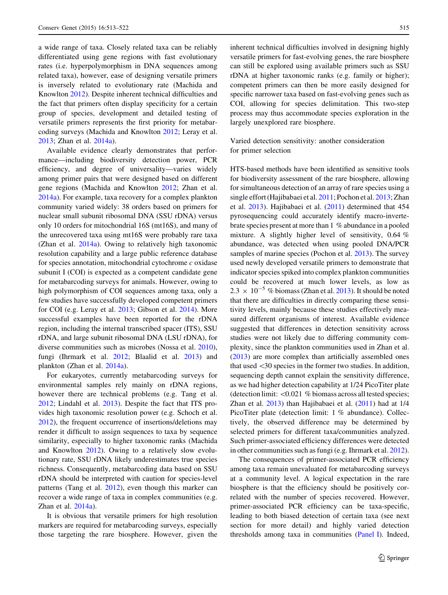a wide range of taxa. Closely related taxa can be reliably differentiated using gene regions with fast evolutionary rates (i.e. hyperpolymorphism in DNA sequences among related taxa), however, ease of designing versatile primers is inversely related to evolutionary rate (Machida and Knowlton [2012](#page-9-0)). Despite inherent technical difficulties and the fact that primers often display specificity for a certain group of species, development and detailed testing of versatile primers represents the first priority for metabarcoding surveys (Machida and Knowlton [2012;](#page-9-0) Leray et al. [2013;](#page-9-0) Zhan et al. [2014a](#page-9-0)).

Available evidence clearly demonstrates that performance—including biodiversity detection power, PCR efficiency, and degree of universality—varies widely among primer pairs that were designed based on different gene regions (Machida and Knowlton [2012;](#page-9-0) Zhan et al. [2014a](#page-9-0)). For example, taxa recovery for a complex plankton community varied widely: 38 orders based on primers for nuclear small subunit ribosomal DNA (SSU rDNA) versus only 10 orders for mitochondrial 16S (mt16S), and many of the unrecovered taxa using mt16S were probably rare taxa (Zhan et al. [2014a](#page-9-0)). Owing to relatively high taxonomic resolution capability and a large public reference database for species annotation, mitochondrial cytochrome c oxidase subunit I (COI) is expected as a competent candidate gene for metabarcoding surveys for animals. However, owing to high polymorphism of COI sequences among taxa, only a few studies have successfully developed competent primers for COI (e.g. Leray et al. [2013](#page-9-0); Gibson et al. [2014\)](#page-8-0). More successful examples have been reported for the rDNA region, including the internal transcribed spacer (ITS), SSU rDNA, and large subunit ribosomal DNA (LSU rDNA), for diverse communities such as microbes (Nossa et al. [2010](#page-9-0)), fungi (Ihrmark et al. [2012](#page-8-0); Blaalid et al. [2013\)](#page-8-0) and plankton (Zhan et al. [2014a\)](#page-9-0).

For eukaryotes, currently metabarcoding surveys for environmental samples rely mainly on rDNA regions, however there are technical problems (e.g. Tang et al. [2012;](#page-9-0) Lindahl et al. [2013\)](#page-9-0). Despite the fact that ITS provides high taxonomic resolution power (e.g. Schoch et al. [2012\)](#page-9-0), the frequent occurrence of insertions/deletions may render it difficult to assign sequences to taxa by sequence similarity, especially to higher taxonomic ranks (Machida and Knowlton [2012](#page-9-0)). Owing to a relatively slow evolutionary rate, SSU rDNA likely underestimates true species richness. Consequently, metabarcoding data based on SSU rDNA should be interpreted with caution for species-level patterns (Tang et al. [2012\)](#page-9-0), even though this marker can recover a wide range of taxa in complex communities (e.g. Zhan et al. [2014a](#page-9-0)).

It is obvious that versatile primers for high resolution markers are required for metabarcoding surveys, especially those targeting the rare biosphere. However, given the inherent technical difficulties involved in designing highly versatile primers for fast-evolving genes, the rare biosphere can still be explored using available primers such as SSU rDNA at higher taxonomic ranks (e.g. family or higher); competent primers can then be more easily designed for specific narrower taxa based on fast-evolving genes such as COI, allowing for species delimitation. This two-step process may thus accommodate species exploration in the largely unexplored rare biosphere.

Varied detection sensitivity: another consideration for primer selection

HTS-based methods have been identified as sensitive tools for biodiversity assessment of the rare biosphere, allowing for simultaneous detection of an array of rare species using a single effort (Hajibabaei et al. [2011;](#page-8-0) Pochon et al. [2013](#page-9-0); Zhan et al. [2013](#page-9-0)). Hajibabaei et al. ([2011\)](#page-8-0) determined that 454 pyrosequencing could accurately identify macro-invertebrate species present at more than 1 % abundance in a pooled mixture. A slightly higher level of sensitivity, 0.64 % abundance, was detected when using pooled DNA/PCR samples of marine species (Pochon et al. [2013](#page-9-0)). The survey used newly developed versatile primers to demonstrate that indicator species spiked into complex plankton communities could be recovered at much lower levels, as low as  $2.3 \times 10^{-5}$  % biomass (Zhan et al. [2013\)](#page-9-0). It should be noted that there are difficulties in directly comparing these sensitivity levels, mainly because these studies effectively measured different organisms of interest. Available evidence suggested that differences in detection sensitivity across studies were not likely due to differing community complexity, since the plankton communities used in Zhan et al. [\(2013](#page-9-0)) are more complex than artificially assembled ones that used  $\langle 30$  species in the former two studies. In addition, sequencing depth cannot explain the sensitivity difference, as we had higher detection capability at 1/24 PicoTiter plate (detection limit:  $< 0.021$  % biomass across all tested species; Zhan et al. [2013](#page-9-0)) than Hajibabaei et al. ([2011\)](#page-8-0) had at 1/4 PicoTiter plate (detection limit: 1 % abundance). Collectively, the observed difference may be determined by selected primers for different taxa/communities analyzed. Such primer-associated efficiency differences were detected in other communities such as fungi (e.g. Ihrmark et al. [2012](#page-8-0)).

The consequences of primer-associated PCR efficiency among taxa remain unevaluated for metabarcoding surveys at a community level. A logical expectation in the rare biosphere is that the efficiency should be positively correlated with the number of species recovered. However, primer-associated PCR efficiency can be taxa-specific, leading to both biased detection of certain taxa (see next section for more detail) and highly varied detection thresholds among taxa in communities ([Panel I](#page-6-0)). Indeed,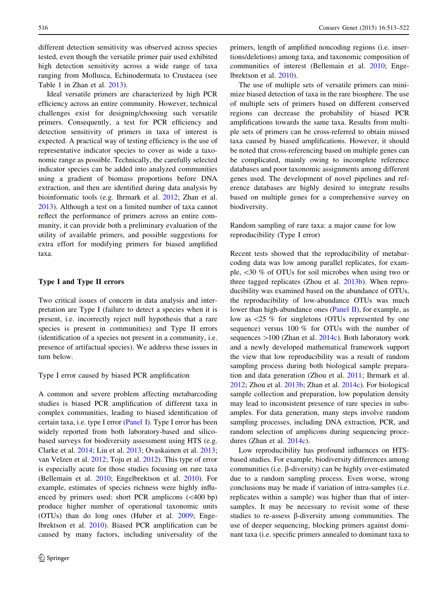different detection sensitivity was observed across species tested, even though the versatile primer pair used exhibited high detection sensitivity across a wide range of taxa ranging from Mollusca, Echinodermata to Crustacea (see Table 1 in Zhan et al. [2013](#page-9-0)).

Ideal versatile primers are characterized by high PCR efficiency across an entire community. However, technical challenges exist for designing/choosing such versatile primers. Consequently, a test for PCR efficiency and detection sensitivity of primers in taxa of interest is expected. A practical way of testing efficiency is the use of representative indicator species to cover as wide a taxonomic range as possible. Technically, the carefully selected indicator species can be added into analyzed communities using a gradient of biomass proportions before DNA extraction, and then are identified during data analysis by bioinformatic tools (e.g. Ihrmark et al. [2012](#page-8-0); Zhan et al. [2013\)](#page-9-0). Although a test on a limited number of taxa cannot reflect the performance of primers across an entire community, it can provide both a preliminary evaluation of the utility of available primers, and possible suggestions for extra effort for modifying primers for biased amplified taxa.

## Type I and Type II errors

Two critical issues of concern in data analysis and interpretation are Type I (failure to detect a species when it is present, i.e. incorrectly reject null hypothesis that a rare species is present in communities) and Type II errors (identification of a species not present in a community, i.e. presence of artifactual species). We address these issues in turn below.

#### Type I error caused by biased PCR amplification

A common and severe problem affecting metabarcoding studies is biased PCR amplification of different taxa in complex communities, leading to biased identification of certain taxa, i.e. type I error [\(Panel I](#page-6-0)). Type I error has been widely reported from both laboratory-based and silicobased surveys for biodiversity assessment using HTS (e.g. Clarke et al. [2014](#page-8-0); Liu et al. [2013](#page-9-0); Ovaskainen et al. [2013](#page-9-0); van Velzen et al. [2012](#page-9-0); Toju et al. [2012](#page-9-0)). This type of error is especially acute for those studies focusing on rare taxa (Bellemain et al. [2010](#page-8-0); Engelbrektson et al. [2010\)](#page-8-0). For example, estimates of species richness were highly influenced by primers used: short PCR amplicons  $( $400$  bp)$ produce higher number of operational taxonomic units (OTUs) than do long ones (Huber et al. [2009;](#page-8-0) Engelbrektson et al. [2010\)](#page-8-0). Biased PCR amplification can be caused by many factors, including universality of the

primers, length of amplified noncoding regions (i.e. insertions/deletions) among taxa, and taxonomic composition of communities of interest (Bellemain et al. [2010;](#page-8-0) Engelbrektson et al. [2010](#page-8-0)).

The use of multiple sets of versatile primers can minimize biased detection of taxa in the rare biosphere. The use of multiple sets of primers based on different conserved regions can decrease the probability of biased PCR amplifications towards the same taxa. Results from multiple sets of primers can be cross-referred to obtain missed taxa caused by biased amplifications. However, it should be noted that cross-referencing based on multiple genes can be complicated, mainly owing to incomplete reference databases and poor taxonomic assignments among different genes used. The development of novel pipelines and reference databases are highly desired to integrate results based on multiple genes for a comprehensive survey on biodiversity.

Random sampling of rare taxa: a major cause for low reproducibility (Type I error)

Recent tests showed that the reproducibility of metabarcoding data was low among parallel replicates, for example,  $\langle 30 \, \% \rangle$  of OTUs for soil microbes when using two or three tagged replicates (Zhou et al. [2013b](#page-9-0)). When reproducibility was examined based on the abundance of OTUs, the reproducibility of low-abundance OTUs was much lower than high-abundance ones [\(Panel II](#page-7-0)), for example, as low as  $\langle 25 \%$  for singletons (OTUs represented by one sequence) versus 100 % for OTUs with the number of sequences  $>100$  (Zhan et al.  $2014c$ ). Both laboratory work and a newly developed mathematical framework support the view that low reproducibility was a result of random sampling process during both biological sample preparation and data generation (Zhou et al. [2011;](#page-9-0) Ihrmark et al. [2012](#page-8-0); Zhou et al. [2013b](#page-9-0); Zhan et al. [2014c\)](#page-9-0). For biological sample collection and preparation, low population density may lead to inconsistent presence of rare species in subsamples. For data generation, many steps involve random sampling processes, including DNA extraction, PCR, and random selection of amplicons during sequencing procedures (Zhan et al. [2014c](#page-9-0)).

Low reproducibility has profound influences on HTSbased studies. For example, biodiversity differences among communities (i.e.  $\beta$ -diversity) can be highly over-estimated due to a random sampling process. Even worse, wrong conclusions may be made if variation of intra-samples (i.e. replicates within a sample) was higher than that of intersamples. It may be necessary to revisit some of these studies to re-assess  $\beta$ -diversity among communities. The use of deeper sequencing, blocking primers against dominant taxa (i.e. specific primers annealed to dominant taxa to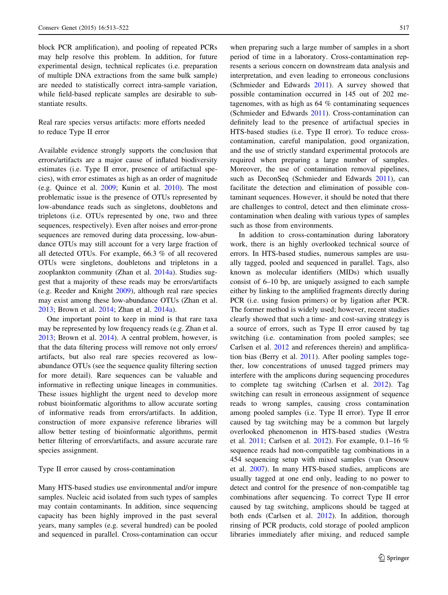block PCR amplification), and pooling of repeated PCRs may help resolve this problem. In addition, for future experimental design, technical replicates (i.e. preparation of multiple DNA extractions from the same bulk sample) are needed to statistically correct intra-sample variation, while field-based replicate samples are desirable to substantiate results.

Real rare species versus artifacts: more efforts needed to reduce Type II error

Available evidence strongly supports the conclusion that errors/artifacts are a major cause of inflated biodiversity estimates (i.e. Type II error, presence of artifactual species), with error estimates as high as an order of magnitude (e.g. Quince et al. [2009](#page-9-0); Kunin et al. [2010\)](#page-9-0). The most problematic issue is the presence of OTUs represented by low-abundance reads such as singletons, doubletons and tripletons (i.e. OTUs represented by one, two and three sequences, respectively). Even after noises and error-prone sequences are removed during data processing, low-abundance OTUs may still account for a very large fraction of all detected OTUs. For example, 66.3 % of all recovered OTUs were singletons, doubletons and tripletons in a zooplankton community (Zhan et al. [2014a\)](#page-9-0). Studies suggest that a majority of these reads may be errors/artifacts (e.g. Reeder and Knight [2009](#page-9-0)), although real rare species may exist among these low-abundance OTUs (Zhan et al. [2013;](#page-9-0) Brown et al. [2014](#page-8-0); Zhan et al. [2014a](#page-9-0)).

One important point to keep in mind is that rare taxa may be represented by low frequency reads (e.g. Zhan et al. [2013;](#page-9-0) Brown et al. [2014\)](#page-8-0). A central problem, however, is that the data filtering process will remove not only errors/ artifacts, but also real rare species recovered as lowabundance OTUs (see the sequence quality filtering section for more detail). Rare sequences can be valuable and informative in reflecting unique lineages in communities. These issues highlight the urgent need to develop more robust bioinformatic algorithms to allow accurate sorting of informative reads from errors/artifacts. In addition, construction of more expansive reference libraries will allow better testing of bioinformatic algorithms, permit better filtering of errors/artifacts, and assure accurate rare species assignment.

#### Type II error caused by cross-contamination

Many HTS-based studies use environmental and/or impure samples. Nucleic acid isolated from such types of samples may contain contaminants. In addition, since sequencing capacity has been highly improved in the past several years, many samples (e.g. several hundred) can be pooled and sequenced in parallel. Cross-contamination can occur

when preparing such a large number of samples in a short period of time in a laboratory. Cross-contamination represents a serious concern on downstream data analysis and interpretation, and even leading to erroneous conclusions (Schmieder and Edwards [2011\)](#page-9-0). A survey showed that possible contamination occurred in 145 out of 202 metagenomes, with as high as 64 % contaminating sequences (Schmieder and Edwards [2011](#page-9-0)). Cross-contamination can definitely lead to the presence of artifactual species in HTS-based studies (i.e. Type II error). To reduce crosscontamination, careful manipulation, good organization, and the use of strictly standard experimental protocols are required when preparing a large number of samples. Moreover, the use of contamination removal pipelines, such as DeconSeq (Schmieder and Edwards [2011](#page-9-0)), can facilitate the detection and elimination of possible contaminant sequences. However, it should be noted that there are challenges to control, detect and then eliminate crosscontamination when dealing with various types of samples such as those from environments.

In addition to cross-contamination during laboratory work, there is an highly overlooked technical source of errors. In HTS-based studies, numerous samples are usually tagged, pooled and sequenced in parallel. Tags, also known as molecular identifiers (MIDs) which usually consist of 6–10 bp, are uniquely assigned to each sample either by linking to the amplified fragments directly during PCR (i.e. using fusion primers) or by ligation after PCR. The former method is widely used; however, recent studies clearly showed that such a time- and cost-saving strategy is a source of errors, such as Type II error caused by tag switching (i.e. contamination from pooled samples; see Carlsen et al. [2012](#page-8-0) and references therein) and amplification bias (Berry et al. [2011](#page-8-0)). After pooling samples together, low concentrations of unused tagged primers may interfere with the amplicons during sequencing procedures to complete tag switching (Carlsen et al. [2012\)](#page-8-0). Tag switching can result in erroneous assignment of sequence reads to wrong samples, causing cross contamination among pooled samples (i.e. Type II error). Type II error caused by tag switching may be a common but largely overlooked phenomenon in HTS-based studies (Westra et al. [2011](#page-9-0); Carlsen et al. [2012](#page-8-0)). For example, 0.1–16 % sequence reads had non-compatible tag combinations in a 454 sequencing setup with mixed samples (van Orsouw et al. [2007](#page-9-0)). In many HTS-based studies, amplicons are usually tagged at one end only, leading to no power to detect and control for the presence of non-compatible tag combinations after sequencing. To correct Type II error caused by tag switching, amplicons should be tagged at both ends (Carlsen et al. [2012\)](#page-8-0). In addition, thorough rinsing of PCR products, cold storage of pooled amplicon libraries immediately after mixing, and reduced sample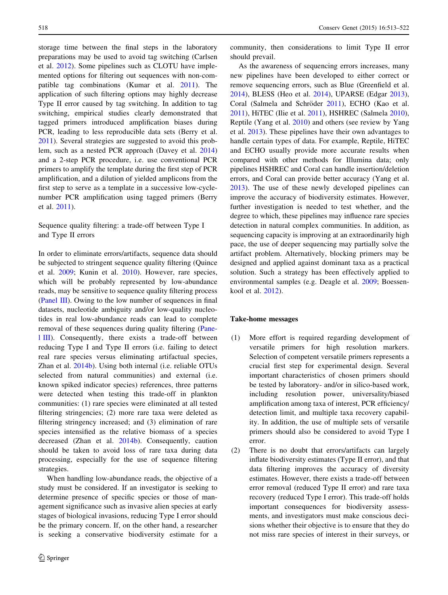storage time between the final steps in the laboratory preparations may be used to avoid tag switching (Carlsen et al. [2012](#page-8-0)). Some pipelines such as CLOTU have implemented options for filtering out sequences with non-compatible tag combinations (Kumar et al. [2011\)](#page-9-0). The application of such filtering options may highly decrease Type II error caused by tag switching. In addition to tag switching, empirical studies clearly demonstrated that tagged primers introduced amplification biases during PCR, leading to less reproducible data sets (Berry et al. [2011\)](#page-8-0). Several strategies are suggested to avoid this problem, such as a nested PCR approach (Davey et al. [2014\)](#page-8-0) and a 2-step PCR procedure, i.e. use conventional PCR primers to amplify the template during the first step of PCR amplification, and a dilution of yielded amplicons from the first step to serve as a template in a successive low-cyclenumber PCR amplification using tagged primers (Berry et al. [2011\)](#page-8-0).

Sequence quality filtering: a trade-off between Type I and Type II errors

In order to eliminate errors/artifacts, sequence data should be subjected to stringent sequence quality filtering (Quince et al. [2009;](#page-9-0) Kunin et al. [2010](#page-9-0)). However, rare species, which will be probably represented by low-abundance reads, may be sensitive to sequence quality filtering process [\(Panel III\)](#page-7-0). Owing to the low number of sequences in final datasets, nucleotide ambiguity and/or low-quality nucleotides in real low-abundance reads can lead to complete removal of these sequences during quality filtering [\(Pane](#page-7-0)[l III](#page-7-0)). Consequently, there exists a trade-off between reducing Type I and Type II errors (i.e. failing to detect real rare species versus eliminating artifactual species, Zhan et al. [2014b\)](#page-9-0). Using both internal (i.e. reliable OTUs selected from natural communities) and external (i.e. known spiked indicator species) references, three patterns were detected when testing this trade-off in plankton communities: (1) rare species were eliminated at all tested filtering stringencies; (2) more rare taxa were deleted as filtering stringency increased; and (3) elimination of rare species intensified as the relative biomass of a species decreased (Zhan et al. [2014b](#page-9-0)). Consequently, caution should be taken to avoid loss of rare taxa during data processing, especially for the use of sequence filtering strategies.

When handling low-abundance reads, the objective of a study must be considered. If an investigator is seeking to determine presence of specific species or those of management significance such as invasive alien species at early stages of biological invasions, reducing Type I error should be the primary concern. If, on the other hand, a researcher is seeking a conservative biodiversity estimate for a community, then considerations to limit Type II error should prevail.

As the awareness of sequencing errors increases, many new pipelines have been developed to either correct or remove sequencing errors, such as Blue (Greenfield et al. [2014](#page-8-0)), BLESS (Heo et al. [2014\)](#page-8-0), UPARSE (Edgar [2013](#page-8-0)), Coral (Salmela and Schröder [2011](#page-9-0)), ECHO (Kao et al. [2011](#page-9-0)), HiTEC (Ilie et al. [2011\)](#page-9-0), HSHREC (Salmela [2010](#page-9-0)), Reptile (Yang et al. [2010](#page-9-0)) and others (see review by Yang et al. [2013](#page-9-0)). These pipelines have their own advantages to handle certain types of data. For example, Reptile, HiTEC and ECHO usually provide more accurate results when compared with other methods for Illumina data; only pipelines HSHREC and Coral can handle insertion/deletion errors, and Coral can provide better accuracy (Yang et al. [2013](#page-9-0)). The use of these newly developed pipelines can improve the accuracy of biodiversity estimates. However, further investigation is needed to test whether, and the degree to which, these pipelines may influence rare species detection in natural complex communities. In addition, as sequencing capacity is improving at an extraordinarily high pace, the use of deeper sequencing may partially solve the artifact problem. Alternatively, blocking primers may be designed and applied against dominant taxa as a practical solution. Such a strategy has been effectively applied to environmental samples (e.g. Deagle et al. [2009](#page-8-0); Boessenkool et al. [2012\)](#page-8-0).

## Take-home messages

- (1) More effort is required regarding development of versatile primers for high resolution markers. Selection of competent versatile primers represents a crucial first step for experimental design. Several important characteristics of chosen primers should be tested by laboratory- and/or in silico-based work, including resolution power, universality/biased amplification among taxa of interest, PCR efficiency/ detection limit, and multiple taxa recovery capability. In addition, the use of multiple sets of versatile primers should also be considered to avoid Type I error.
- (2) There is no doubt that errors/artifacts can largely inflate biodiversity estimates (Type II error), and that data filtering improves the accuracy of diversity estimates. However, there exists a trade-off between error removal (reduced Type II error) and rare taxa recovery (reduced Type I error). This trade-off holds important consequences for biodiversity assessments, and investigators must make conscious decisions whether their objective is to ensure that they do not miss rare species of interest in their surveys, or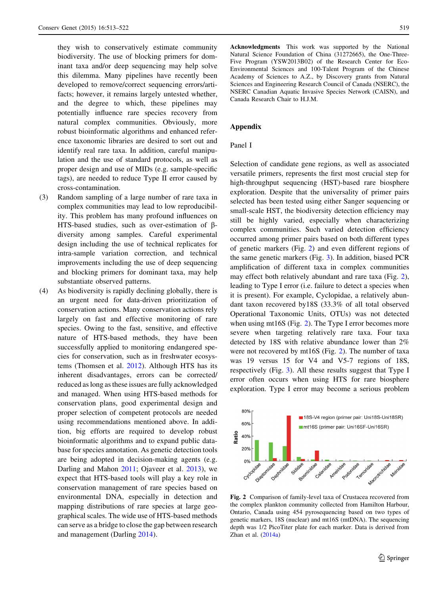<span id="page-6-0"></span>they wish to conservatively estimate community biodiversity. The use of blocking primers for dominant taxa and/or deep sequencing may help solve this dilemma. Many pipelines have recently been developed to remove/correct sequencing errors/artifacts; however, it remains largely untested whether, and the degree to which, these pipelines may potentially influence rare species recovery from natural complex communities. Obviously, more robust bioinformatic algorithms and enhanced reference taxonomic libraries are desired to sort out and identify real rare taxa. In addition, careful manipulation and the use of standard protocols, as well as proper design and use of MIDs (e.g. sample-specific tags), are needed to reduce Type II error caused by cross-contamination.

- (3) Random sampling of a large number of rare taxa in complex communities may lead to low reproducibility. This problem has many profound influences on HTS-based studies, such as over-estimation of  $\beta$ diversity among samples. Careful experimental design including the use of technical replicates for intra-sample variation correction, and technical improvements including the use of deep sequencing and blocking primers for dominant taxa, may help substantiate observed patterns.
- (4) As biodiversity is rapidly declining globally, there is an urgent need for data-driven prioritization of conservation actions. Many conservation actions rely largely on fast and effective monitoring of rare species. Owing to the fast, sensitive, and effective nature of HTS-based methods, they have been successfully applied to monitoring endangered species for conservation, such as in freshwater ecosystems (Thomsen et al. [2012\)](#page-9-0). Although HTS has its inherent disadvantages, errors can be corrected/ reduced as long as these issues are fully acknowledged and managed. When using HTS-based methods for conservation plans, good experimental design and proper selection of competent protocols are needed using recommendations mentioned above. In addition, big efforts are required to develop robust bioinformatic algorithms and to expand public database for species annotation. As genetic detection tools are being adopted in decision-making agents (e.g. Darling and Mahon [2011](#page-8-0); Ojaveer et al. [2013\)](#page-9-0), we expect that HTS-based tools will play a key role in conservation management of rare species based on environmental DNA, especially in detection and mapping distributions of rare species at large geographical scales. The wide use of HTS-based methods can serve as a bridge to close the gap between research and management (Darling [2014\)](#page-8-0).

Acknowledgments This work was supported by the National Natural Science Foundation of China (31272665), the One-Three-Five Program (YSW2013B02) of the Research Center for Eco-Environmental Sciences and 100-Talent Program of the Chinese Academy of Sciences to A.Z., by Discovery grants from Natural Sciences and Engineering Research Council of Canada (NSERC), the NSERC Canadian Aquatic Invasive Species Network (CAISN), and Canada Research Chair to H.J.M.

## Appendix

### Panel I

Selection of candidate gene regions, as well as associated versatile primers, represents the first most crucial step for high-throughput sequencing (HST)-based rare biosphere exploration. Despite that the universality of primer pairs selected has been tested using either Sanger sequencing or small-scale HST, the biodiversity detection efficiency may still be highly varied, especially when characterizing complex communities. Such varied detection efficiency occurred among primer pairs based on both different types of genetic markers (Fig. 2) and even different regions of the same genetic markers (Fig. [3](#page-7-0)). In addition, biased PCR amplification of different taxa in complex communities may effect both relatively abundant and rare taxa (Fig. 2), leading to Type I error (i.e. failure to detect a species when it is present). For example, Cyclopidae, a relatively abundant taxon recovered by18S (33.3% of all total observed Operational Taxonomic Units, OTUs) was not detected when using mt16S (Fig. 2). The Type I error becomes more severe when targeting relatively rare taxa. Four taxa detected by 18S with relative abundance lower than 2% were not recovered by mt16S (Fig. 2). The number of taxa was 19 versus 15 for V4 and V5-7 regions of 18S, respectively (Fig. [3\)](#page-7-0). All these results suggest that Type I error often occurs when using HTS for rare biosphere exploration. Type I error may become a serious problem



Fig. 2 Comparison of family-level taxa of Crustacea recovered from the complex plankton community collected from Hamilton Harbour, Ontario, Canada using 454 pyrosequencing based on two types of genetic markers, 18S (nuclear) and mt16S (mtDNA). The sequencing depth was 1/2 PicoTiter plate for each marker. Data is derived from Zhan et al. [\(2014a](#page-9-0))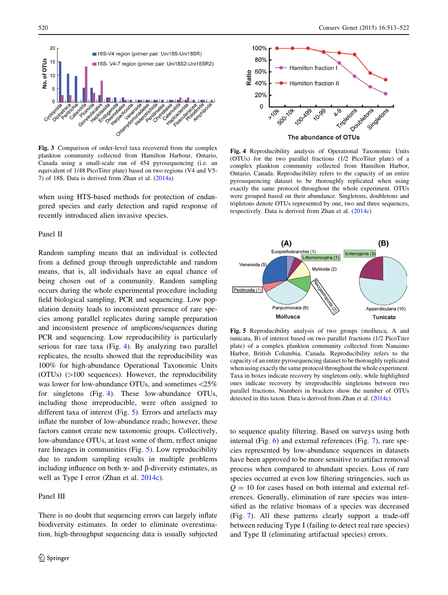<span id="page-7-0"></span>

Fig. 3 Comparison of order-level taxa recovered from the complex plankton community collected from Hamilton Harbour, Ontario, Canada using a small-scale run of 454 pyrosequencing (i.e. an equivalent of 1/48 PicoTiter plate) based on two regions (V4 and V5- 7) of 18S. Data is derived from Zhan et al. [\(2014a\)](#page-9-0)

when using HTS-based methods for protection of endangered species and early detection and rapid response of recently introduced alien invasive species.

#### Panel II

Random sampling means that an individual is collected from a defined group through unpredictable and random means, that is, all individuals have an equal chance of being chosen out of a community. Random sampling occurs during the whole experimental procedure including field biological sampling, PCR and sequencing. Low population density leads to inconsistent presence of rare species among parallel replicates during sample preparation and inconsistent presence of amplicons/sequences during PCR and sequencing. Low reproducibility is particularly serious for rare taxa (Fig. 4). By analyzing two parallel replicates, the results showed that the reproducibility was 100% for high-abundance Operational Taxonomic Units  $(OTUs)$  ( $>100$  sequences). However, the reproducibility was lower for low-abundance OTUs, and sometimes\25% for singletons (Fig. 4). These low-abundance OTUs, including those irreproducible, were often assigned to different taxa of interest (Fig. 5). Errors and artefacts may inflate the number of low-abundance reads; however, these factors cannot create new taxonomic groups. Collectively, low-abundance OTUs, at least some of them, reflect unique rare lineages in communities (Fig. 5). Low reproducibility due to random sampling results in multiple problems including influence on both  $\alpha$ - and  $\beta$ -diversity estimates, as well as Type I error (Zhan et al. [2014c\)](#page-9-0).

## Panel III

There is no doubt that sequencing errors can largely inflate biodiversity estimates. In order to eliminate overestimation, high-throughput sequencing data is usually subjected



Fig. 4 Reproducibility analysis of Operational Taxonomic Units (OTUs) for the two parallel fractions (1/2 PicoTiter plate) of a complex plankton community collected from Hamilton Harbor, Ontario, Canada. Reproducibility refers to the capacity of an entire pyrosequencing dataset to be thoroughly replicated when using exactly the same protocol throughout the whole experiment. OTUs were grouped based on their abundance. Singletons, doubletons and tripletons denote OTUs represented by one, two and three sequences, respectively. Data is derived from Zhan et al. [\(2014c](#page-9-0))



Fig. 5 Reproducibility analysis of two groups (mollusca, A and tunicata, B) of interest based on two parallel fractions (1/2 PicoTiter plate) of a complex plankton community collected from Nanaimo Harbor, British Columbia, Canada. Reproducibility refers to the capacity of an entire pyrosequencing dataset to be thoroughly replicated when using exactly the same protocol throughout the whole experiment. Taxa in boxes indicate recovery by singletons only, while highlighted ones indicate recovery by irreproducible singletons between two parallel fractions. Numbers in brackets show the number of OTUs detected in this taxon. Data is derived from Zhan et al. [\(2014c\)](#page-9-0)

to sequence quality filtering. Based on surveys using both internal (Fig. [6\)](#page-8-0) and external references (Fig. [7\)](#page-8-0), rare species represented by low-abundance sequences in datasets have been approved to be more sensitive to artifact removal process when compared to abundant species. Loss of rare species occurred at even low filtering stringencies, such as  $Q = 10$  for cases based on both internal and external references. Generally, elimination of rare species was intensified as the relative biomass of a species was decreased (Fig. [7\)](#page-8-0). All these patterns clearly support a trade-off between reducing Type I (failing to detect real rare species) and Type II (eliminating artifactual species) errors.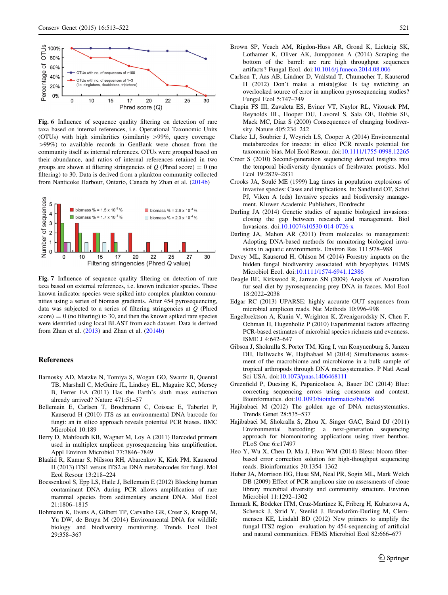<span id="page-8-0"></span>

Fig. 6 Influence of sequence quality filtering on detection of rare taxa based on internal references, i.e. Operational Taxonomic Units (OTUs) with high similarities (similarity  $>99\%$ , query coverage  $>99\%$ ) to available records in GenBank were chosen from the community itself as internal references. OTUs were grouped based on their abundance, and ratios of internal references retained in two groups are shown at filtering stringencies of  $Q$  (Phred score) = 0 (no filtering) to 30. Data is derived from a plankton community collected from Nanticoke Harbour, Ontario, Canada by Zhan et al. ([2014b](#page-9-0))



Fig. 7 Influence of sequence quality filtering on detection of rare taxa based on external references, i.e. known indicator species. These known indicator species were spiked into complex plankton communities using a series of biomass gradients. After 454 pyrosequencing, data was subjected to a series of filtering stringencies at  $Q$  (Phred  $\text{score}$ ) = 0 (no filtering) to 30, and then the known spiked rare species were identified using local BLAST from each dataset. Data is derived from Zhan et al. ([2013\)](#page-9-0) and Zhan et al. [\(2014b\)](#page-9-0)

#### References

- Barnosky AD, Matzke N, Tomiya S, Wogan GO, Swartz B, Quental TB, Marshall C, McGuire JL, Lindsey EL, Maguire KC, Mersey B, Ferrer EA (2011) Has the Earth's sixth mass extinction already arrived? Nature 471:51–57
- Bellemain E, Carlsen T, Brochmann C, Coissac E, Taberlet P, Kauserud H (2010) ITS as an environmental DNA barcode for fungi: an in silico approach reveals potential PCR biases. BMC Microbiol 10:189
- Berry D, Mahfoudh KB, Wagner M, Loy A (2011) Barcoded primers used in multiplex amplicon pyrosequencing bias amplification. Appl Environ Microbiol 77:7846–7849
- Blaalid R, Kumar S, Nilsson RH, Abarenkov K, Kirk PM, Kauserud H (2013) ITS1 versus ITS2 as DNA metabarcodes for fungi. Mol Ecol Resour 13:218–224
- Boessenkool S, Epp LS, Haile J, Bellemain E (2012) Blocking human contaminant DNA during PCR allows amplification of rare mammal species from sedimentary ancient DNA. Mol Ecol 21:1806–1815
- Bohmann K, Evans A, Gilbert TP, Carvalho GR, Creer S, Knapp M, Yu DW, de Bruyn M (2014) Environmental DNA for wildlife biology and biodiversity monitoring. Trends Ecol Evol 29:358–367
- Brown SP, Veach AM, Rigdon-Huss AR, Grond K, Lickteig SK, Lothamer K, Oliver AK, Jumpponen A (2014) Scraping the bottom of the barrel: are rare high throughput sequences artifacts? Fungal Ecol. doi[:10.1016/j.funeco.2014.08.006](http://dx.doi.org/10.1016/j.funeco.2014.08.006)
- Carlsen T, Aas AB, Lindner D, Vrålstad T, Chumacher T, Kauserud H (2012) Don't make a mista(g)ke: Is tag switching an overlooked source of error in amplicon pyrosequencing studies? Fungal Ecol 5:747–749
- Chapin FS III, Zavaleta ES, Eviner VT, Naylor RL, Vitousek PM, Reynolds HL, Hooper DU, Lavorel S, Sala OE, Hobbie SE, Mack MC, Díaz S (2000) Consequences of changing biodiversity. Nature  $405.234 - 242$
- Clarke LJ, Soubrier J, Weyrich LS, Cooper A (2014) Environmental metabarcodes for insects: in silico PCR reveals potential for taxonomic bias. Mol Ecol Resour. doi[:10.1111/1755-0998.12265](http://dx.doi.org/10.1111/1755-0998.12265)
- Creer S (2010) Second-generation sequencing derived insights into the temporal biodiversity dynamics of freshwater protists. Mol Ecol 19:2829–2831
- Crooks JA, Soulé ME (1999) Lag times in population explosions of invasive species: Cases and implications. In: Sandlund OT, Schei PJ, Viken A (eds) Invasive species and biodiversity management. Kluwer Academic Publishers, Dordrecht
- Darling JA (2014) Genetic studies of aquatic biological invasions: closing the gap between research and management. Biol Invasions. doi:[10.1007/s10530-014-0726-x](http://dx.doi.org/10.1007/s10530-014-0726-x)
- Darling JA, Mahon AR (2011) From molecules to management: Adopting DNA-based methods for monitoring biological invasions in aquatic environments. Environ Res 111:978–988
- Davey ML, Kauserud H, Ohlson M (2014) Forestry impacts on the hidden fungal biodiversity associated with bryophytes. FEMS Microbiol Ecol. doi:[10.1111/1574-6941.12386](http://dx.doi.org/10.1111/1574-6941.12386)
- Deagle BE, Kirkwood R, Jarman SN (2009) Analysis of Australian fur seal diet by pyrosequencing prey DNA in faeces. Mol Ecol 18:2022–2038
- Edgar RC (2013) UPARSE: highly accurate OUT sequences from microbial amplicon reads. Nat Methods 10:996–998
- Engelbrektson A, Kunin V, Wrighton K, Zvenigorodsky N, Chen F, Ochman H, Hugenholtz P (2010) Experimental factors affecting PCR-based estimates of microbial species richness and evenness. ISME J 4:642–647
- Gibson J, Shokralla S, Porter TM, King I, van Konynenburg S, Janzen DH, Hallwachs W, Hajibabaei M (2014) Simultaneous assessment of the macrobiome and microbiome in a bulk sample of tropical arthropods through DNA metasystematics. P Natl Acad Sci USA. doi:[10.1073/pnas.1406468111](http://dx.doi.org/10.1073/pnas.1406468111)
- Greenfield P, Duesing K, Papanicolaou A, Bauer DC (2014) Blue: correcting sequencing errors using consensus and context. Bioinformatics. doi[:10.1093/bioinformatics/btu368](http://dx.doi.org/10.1093/bioinformatics/btu368)
- Hajibabaei M (2012) The golden age of DNA metasystematics. Trends Genet 28:535–537
- Hajibabaei M, Shokralla S, Zhou X, Singer GAC, Baird DJ (2011) Environmental barcoding: a next-generation sequencing approach for biomonitoring applications using river benthos. PLoS One 6:e17497
- Heo Y, Wu X, Chen D, Ma J, Hwu WM (2014) Bless: bloom filterbased error correction solution for high-thoughput sequencing reads. Bioinformatics 30:1354–1362
- Huber JA, Morrison HG, Huse SM, Neal PR, Sogin ML, Mark Welch DB (2009) Effect of PCR amplicon size on assessments of clone library microbial diversity and community structure. Environ Microbiol 11:1292–1302
- Ihrmark K, Bödeker ITM, Cruz-Martinez K, Friberg H, Kubartova A, Schenck J, Strid Y, Stenlid J, Brandström-Durling M, Clemmensen KE, Lindahl BD (2012) New primers to amplify the fungal ITS2 region—evaluation by 454-sequencing of artificial and natural communities. FEMS Microbiol Ecol 82:666–677